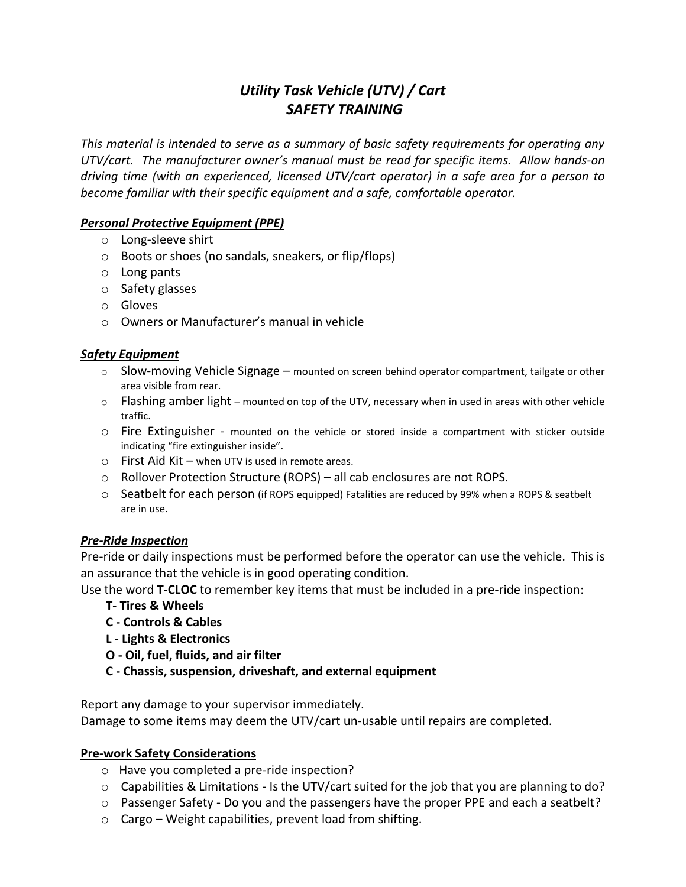# *Utility Task Vehicle (UTV) / Cart SAFETY TRAINING*

*This material is intended to serve as a summary of basic safety requirements for operating any UTV/cart. The manufacturer owner's manual must be read for specific items. Allow hands-on driving time (with an experienced, licensed UTV/cart operator) in a safe area for a person to become familiar with their specific equipment and a safe, comfortable operator.*

### *Personal Protective Equipment (PPE)*

- o Long-sleeve shirt
- o Boots or shoes (no sandals, sneakers, or flip/flops)
- o Long pants
- o Safety glasses
- o Gloves
- o Owners or Manufacturer's manual in vehicle

#### *Safety Equipment*

- $\circ$  Slow-moving Vehicle Signage mounted on screen behind operator compartment, tailgate or other area visible from rear.
- $\circ$  Flashing amber light mounted on top of the UTV, necessary when in used in areas with other vehicle traffic.
- o Fire Extinguisher mounted on the vehicle or stored inside a compartment with sticker outside indicating "fire extinguisher inside".
- $\circ$  First Aid Kit when UTV is used in remote areas.
- $\circ$  Rollover Protection Structure (ROPS) all cab enclosures are not ROPS.
- o Seatbelt for each person (if ROPS equipped) Fatalities are reduced by 99% when a ROPS & seatbelt are in use.

### *Pre-Ride Inspection*

Pre-ride or daily inspections must be performed before the operator can use the vehicle. This is an assurance that the vehicle is in good operating condition.

Use the word **T-CLOC** to remember key items that must be included in a pre-ride inspection:

- **T- Tires & Wheels**
- **C - Controls & Cables**
- **L - Lights & Electronics**
- **O - Oil, fuel, fluids, and air filter**
- **C - Chassis, suspension, driveshaft, and external equipment**

Report any damage to your supervisor immediately. Damage to some items may deem the UTV/cart un-usable until repairs are completed.

#### **Pre-work Safety Considerations**

- o Have you completed a pre-ride inspection?
- $\circ$  Capabilities & Limitations Is the UTV/cart suited for the job that you are planning to do?
- $\circ$  Passenger Safety Do you and the passengers have the proper PPE and each a seatbelt?
- o Cargo Weight capabilities, prevent load from shifting.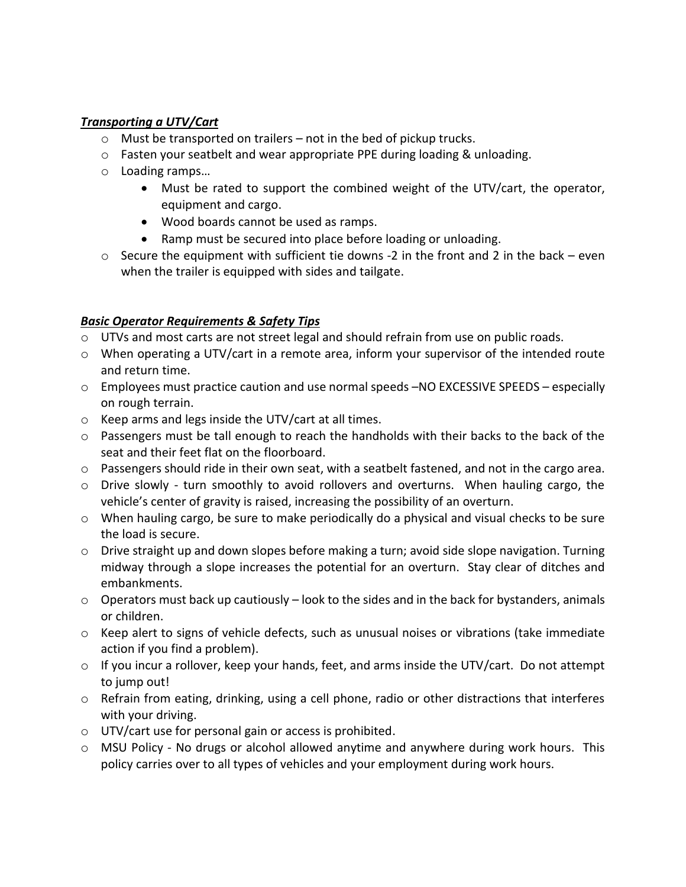### *Transporting a UTV/Cart*

- $\circ$  Must be transported on trailers not in the bed of pickup trucks.
- o Fasten your seatbelt and wear appropriate PPE during loading & unloading.
- o Loading ramps…
	- Must be rated to support the combined weight of the UTV/cart, the operator, equipment and cargo.
	- Wood boards cannot be used as ramps.
	- Ramp must be secured into place before loading or unloading.
- $\circ$  Secure the equipment with sufficient tie downs -2 in the front and 2 in the back even when the trailer is equipped with sides and tailgate.

## *Basic Operator Requirements & Safety Tips*

- $\circ$  UTVs and most carts are not street legal and should refrain from use on public roads.
- $\circ$  When operating a UTV/cart in a remote area, inform your supervisor of the intended route and return time.
- $\circ$  Employees must practice caution and use normal speeds  $-NO$  EXCESSIVE SPEEDS especially on rough terrain.
- o Keep arms and legs inside the UTV/cart at all times.
- $\circ$  Passengers must be tall enough to reach the handholds with their backs to the back of the seat and their feet flat on the floorboard.
- $\circ$  Passengers should ride in their own seat, with a seatbelt fastened, and not in the cargo area.
- o Drive slowly turn smoothly to avoid rollovers and overturns. When hauling cargo, the vehicle's center of gravity is raised, increasing the possibility of an overturn.
- o When hauling cargo, be sure to make periodically do a physical and visual checks to be sure the load is secure.
- o Drive straight up and down slopes before making a turn; avoid side slope navigation. Turning midway through a slope increases the potential for an overturn. Stay clear of ditches and embankments.
- $\circ$  Operators must back up cautiously look to the sides and in the back for bystanders, animals or children.
- $\circ$  Keep alert to signs of vehicle defects, such as unusual noises or vibrations (take immediate action if you find a problem).
- o If you incur a rollover, keep your hands, feet, and arms inside the UTV/cart. Do not attempt to jump out!
- o Refrain from eating, drinking, using a cell phone, radio or other distractions that interferes with your driving.
- o UTV/cart use for personal gain or access is prohibited.
- $\circ$  MSU Policy No drugs or alcohol allowed anytime and anywhere during work hours. This policy carries over to all types of vehicles and your employment during work hours.